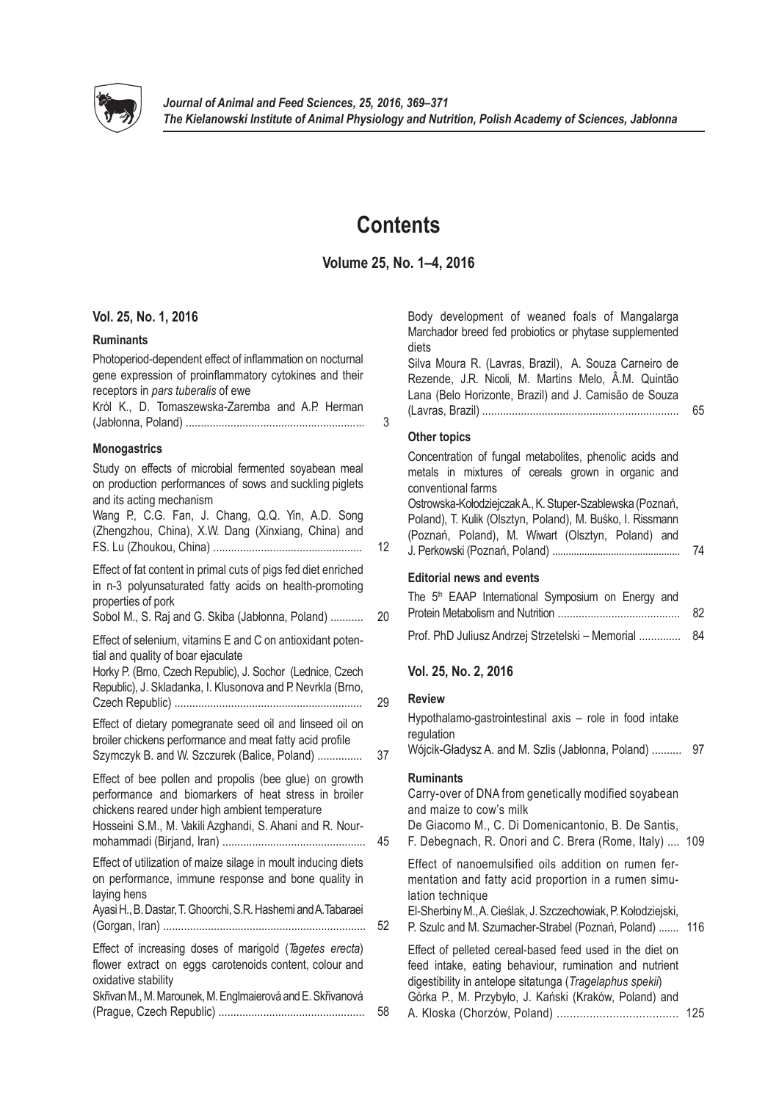

# **Contents**

# **Volume 25, No. 1–4, 2016**

# **Vol. 25, No. 1, 2016**

# **Ruminants**

| Photoperiod-dependent effect of inflammation on nocturnal |   |
|-----------------------------------------------------------|---|
| gene expression of proinflammatory cytokines and their    |   |
| receptors in pars tuberalis of ewe                        |   |
| Król K., D. Tomaszewska-Zaremba and A.P. Herman           |   |
|                                                           | 3 |
|                                                           |   |

# **Monogastrics**

Study on effects of microbial fermented soyabean meal on production performances of sows and suckling piglets and its acting mechanism Wang P., C.G. Fan, J. Chang, Q.Q. Yin, A.D. Song (Zhengzhou, China), X.W. Dang (Xinxiang, China) and F.S. Lu (Zhoukou, China) .................................................. 12 Effect of fat content in primal cuts of pigs fed diet enriched in n-3 polyunsaturated fatty acids on health-promoting properties of pork Sobol M., S. Raj and G. Skiba (Jabłonna, Poland) ........... Effect of selenium, vitamins E and C on antioxidant potential and quality of boar ejaculate Horky P. (Brno, Czech Republic), J. Sochor (Lednice, Czech Republic), J. Skladanka, I. Klusonova and P. Nevrkla (Brno, Czech Republic) ............................................................... 29 Effect of dietary pomegranate seed oil and linseed oil on broiler chickens performance and meat fatty acid profile Szymczyk B. and W. Szczurek (Balice, Poland) ............... Effect of bee pollen and propolis (bee glue) on growth performance and biomarkers of heat stress in broiler chickens reared under high ambient temperature Hosseini S.M., M. Vakili Azghandi, S. Ahani and R. Nourmohammadi (Birjand, Iran) ................................................ 45 Effect of utilization of maize silage in moult inducing diets on performance, immune response and bone quality in laying hens Ayasi H., B. Dastar, T. Ghoorchi, S.R. Hashemi and A.Tabaraei (Gorgan, Iran) .................................................................... 52 Effect of increasing doses of marigold (*Tagetes erecta*) flower extract on eggs carotenoids content, colour and oxidative stability Skřivan M., M. Marounek, M. Englmaierová and E. Skřivanová (Prague, Czech Republic) ................................................. 58

|    | Body development of weaned foals of Mangalarga<br>Marchador breed fed probiotics or phytase supplemented<br>diets<br>Silva Moura R. (Lavras, Brazil), A. Souza Carneiro de<br>Rezende, J.R. Nicoli, M. Martins Melo, Â.M. Quintão<br>Lana (Belo Horizonte, Brazil) and J. Camisão de Souza | 65  |
|----|--------------------------------------------------------------------------------------------------------------------------------------------------------------------------------------------------------------------------------------------------------------------------------------------|-----|
| 3  | <b>Other topics</b>                                                                                                                                                                                                                                                                        |     |
|    | Concentration of fungal metabolites, phenolic acids and<br>metals in mixtures of cereals grown in organic and<br>conventional farms                                                                                                                                                        |     |
| 12 | Ostrowska-Kołodziejczak A., K. Stuper-Szablewska (Poznań,<br>Poland), T. Kulik (Olsztyn, Poland), M. Buśko, I. Rissmann<br>(Poznań, Poland), M. Wiwart (Olsztyn, Poland) and                                                                                                               | 74  |
|    |                                                                                                                                                                                                                                                                                            |     |
| 20 | <b>Editorial news and events</b><br>The 5 <sup>th</sup> EAAP International Symposium on Energy and                                                                                                                                                                                         | 82  |
|    | Prof. PhD Juliusz Andrzej Strzetelski - Memorial                                                                                                                                                                                                                                           | 84  |
|    | Vol. 25, No. 2, 2016                                                                                                                                                                                                                                                                       |     |
| 29 | <b>Review</b><br>Hypothalamo-gastrointestinal axis - role in food intake<br>regulation                                                                                                                                                                                                     |     |
| 37 | Wójcik-Gładysz A. and M. Szlis (Jabłonna, Poland)                                                                                                                                                                                                                                          | 97  |
|    | <b>Ruminants</b><br>Carry-over of DNA from genetically modified soyabean<br>and maize to cow's milk<br>De Giacomo M., C. Di Domenicantonio, B. De Santis,                                                                                                                                  |     |
| 45 | F. Debegnach, R. Onori and C. Brera (Rome, Italy)  109                                                                                                                                                                                                                                     |     |
|    | Effect of nanoemulsified oils addition on rumen fer-<br>mentation and fatty acid proportion in a rumen simu-<br>lation technique                                                                                                                                                           |     |
| 52 | El-Sherbiny M., A. Cieślak, J. Szczechowiak, P. Kołodziejski,<br>P. Szulc and M. Szumacher-Strabel (Poznań, Poland)                                                                                                                                                                        | 116 |
| 58 | Effect of pelleted cereal-based feed used in the diet on<br>feed intake, eating behaviour, rumination and nutrient<br>digestibility in antelope sitatunga (Tragelaphus spekii)<br>Górka P., M. Przybyło, J. Kański (Kraków, Poland) and                                                    | 125 |
|    |                                                                                                                                                                                                                                                                                            |     |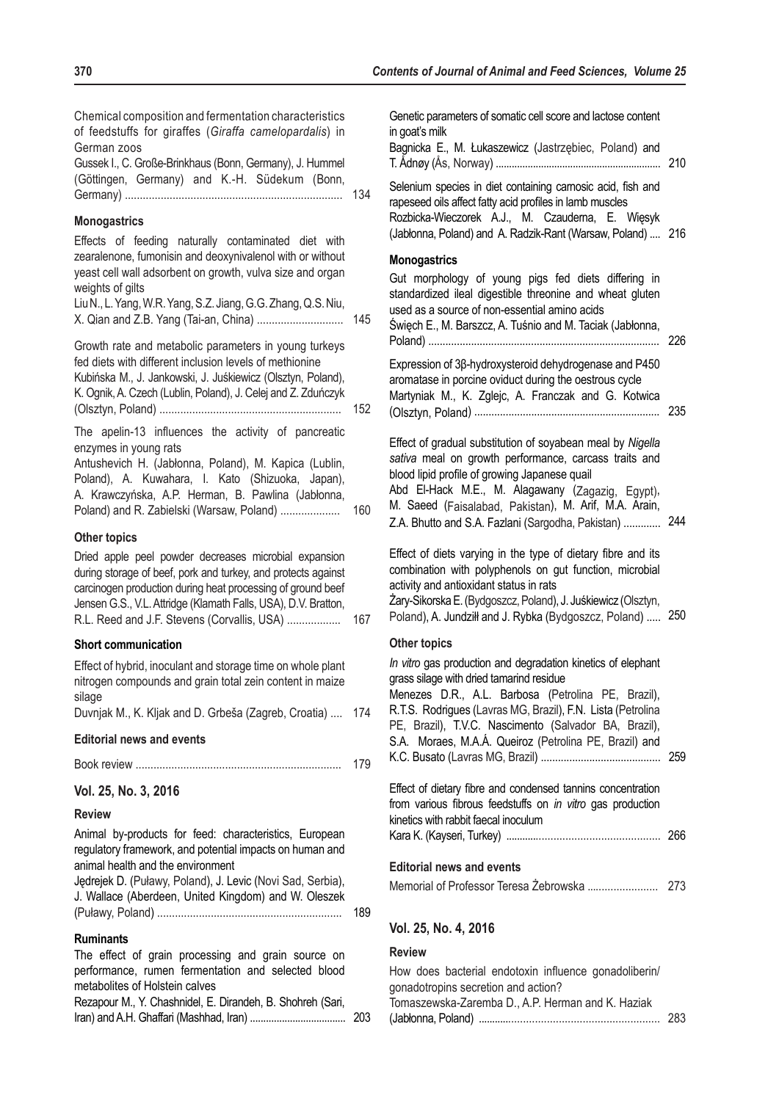Chemical composition and fermentation characteristics of feedstuffs for giraffes (*Giraffa camelopardalis*) in German zoos Gussek I., C. Große-Brinkhaus (Bonn, Germany), J. Hummel (Göttingen, Germany) and K.-H. Südekum (Bonn, Germany) ......................................................................... 134 **Monogastrics** Effects of feeding naturally contaminated diet with zearalenone, fumonisin and deoxynivalenol with or without yeast cell wall adsorbent on growth, vulva size and organ weights of gilts Liu N., L. Yang, W.R. Yang, S.Z. Jiang, G.G. Zhang, Q.S. Niu, X. Qian and Z.B. Yang (Tai-an, China) ............................. 145 Growth rate and metabolic parameters in young turkeys fed diets with different inclusion levels of methionine Kubińska M., J. Jankowski, J. Juśkiewicz (Olsztyn, Poland), K. Ognik, A. Czech (Lublin, Poland), J. Celej and Z. Zduńczyk (Olsztyn, Poland) ............................................................. 152 The apelin-13 influences the activity of pancreatic enzymes in young rats Antushevich H. (Jabłonna, Poland), M. Kapica (Lublin, Poland), A. Kuwahara, I. Kato (Shizuoka, Japan), A. Krawczyńska, A.P. Herman, B. Pawlina (Jabłonna, Poland) and R. Zabielski (Warsaw, Poland) .................... 160 **Other topics** Dried apple peel powder decreases microbial expansion during storage of beef, pork and turkey, and protects against carcinogen production during heat processing of ground beef Jensen G.S., V.L. Attridge (Klamath Falls, USA), D.V. Bratton, R.L. Reed and J.F. Stevens (Corvallis, USA) .................. 167 **Short communication** Effect of hybrid, inoculant and storage time on whole plant

nitrogen compounds and grain total zein content in maize silage

Duvnjak M., K. Kljak and D. Grbeša (Zagreb, Croatia) .... 174

### **Editorial news and events**

|  | 179 |
|--|-----|
|--|-----|

**Vol. 25, No. 3, 2016**

#### **Review**

Animal by-products for feed: characteristics, European regulatory framework, and potential impacts on human and animal health and the environment

| Jędrejek D. (Puławy, Poland), J. Levic (Novi Sad, Serbia), |     |
|------------------------------------------------------------|-----|
| J. Wallace (Aberdeen, United Kingdom) and W. Oleszek       |     |
|                                                            | 189 |

#### **Ruminants**

| performance, rumen fermentation and selected blood         |  |  |  |
|------------------------------------------------------------|--|--|--|
|                                                            |  |  |  |
| metabolites of Holstein calves                             |  |  |  |
| Rezapour M., Y. Chashnidel, E. Dirandeh, B. Shohreh (Sari, |  |  |  |
|                                                            |  |  |  |

| Selenium species in diet containing carnosic acid, fish and<br>rapeseed oils affect fatty acid profiles in lamb muscles<br>Rozbicka-Wieczorek A.J., M. Czauderna, E. Więsyk<br>(Jabłonna, Poland) and A. Radzik-Rant (Warsaw, Poland)<br>216<br><b>Monogastrics</b><br>Gut morphology of young pigs fed diets differing in<br>standardized ileal digestible threonine and wheat gluten<br>used as a source of non-essential amino acids<br>Święch E., M. Barszcz, A. Tuśnio and M. Taciak (Jabłonna,<br>226<br>Expression of 3ß-hydroxysteroid dehydrogenase and P450<br>aromatase in porcine oviduct during the oestrous cycle<br>Martyniak M., K. Zglejc, A. Franczak and G. Kotwica<br>235<br>Effect of gradual substitution of soyabean meal by Nigella<br>sativa meal on growth performance, carcass traits and<br>blood lipid profile of growing Japanese quail<br>Abd El-Hack M.E., M. Alagawany (Zagazig, Egypt),<br>M. Saeed (Faisalabad, Pakistan), M. Arif, M.A. Arain,<br>244<br>Z.A. Bhutto and S.A. Fazlani (Sargodha, Pakistan)<br>Effect of diets varying in the type of dietary fibre and its<br>combination with polyphenols on gut function, microbial<br>activity and antioxidant status in rats<br>Żary-Sikorska E. (Bydgoszcz, Poland), J. Juśkiewicz (Olsztyn,<br>Poland), A. Jundziłł and J. Rybka (Bydgoszcz, Poland)  250<br><b>Other topics</b><br>In vitro gas production and degradation kinetics of elephant<br>grass silage with dried tamarind residue<br>Menezes D.R., A.L. Barbosa (Petrolina PE, Brazil),<br>R.T.S. Rodrigues (Lavras MG, Brazil), F.N. Lista (Petrolina<br>PE, Brazil), T.V.C. Nascimento (Salvador BA, Brazil),<br>S.A. Moraes, M.A.Á. Queiroz (Petrolina PE, Brazil) and<br>259<br>Effect of dietary fibre and condensed tannins concentration<br>from various fibrous feedstuffs on in vitro gas production<br>kinetics with rabbit faecal inoculum | Genetic parameters of somatic cell score and lactose content<br>in goat's milk<br>Bagnicka E., M. Łukaszewicz (Jastrzębiec, Poland) and | 210 |
|------------------------------------------------------------------------------------------------------------------------------------------------------------------------------------------------------------------------------------------------------------------------------------------------------------------------------------------------------------------------------------------------------------------------------------------------------------------------------------------------------------------------------------------------------------------------------------------------------------------------------------------------------------------------------------------------------------------------------------------------------------------------------------------------------------------------------------------------------------------------------------------------------------------------------------------------------------------------------------------------------------------------------------------------------------------------------------------------------------------------------------------------------------------------------------------------------------------------------------------------------------------------------------------------------------------------------------------------------------------------------------------------------------------------------------------------------------------------------------------------------------------------------------------------------------------------------------------------------------------------------------------------------------------------------------------------------------------------------------------------------------------------------------------------------------------------------------------------------------------------------------------------------------|-----------------------------------------------------------------------------------------------------------------------------------------|-----|
|                                                                                                                                                                                                                                                                                                                                                                                                                                                                                                                                                                                                                                                                                                                                                                                                                                                                                                                                                                                                                                                                                                                                                                                                                                                                                                                                                                                                                                                                                                                                                                                                                                                                                                                                                                                                                                                                                                            |                                                                                                                                         |     |
|                                                                                                                                                                                                                                                                                                                                                                                                                                                                                                                                                                                                                                                                                                                                                                                                                                                                                                                                                                                                                                                                                                                                                                                                                                                                                                                                                                                                                                                                                                                                                                                                                                                                                                                                                                                                                                                                                                            |                                                                                                                                         |     |
|                                                                                                                                                                                                                                                                                                                                                                                                                                                                                                                                                                                                                                                                                                                                                                                                                                                                                                                                                                                                                                                                                                                                                                                                                                                                                                                                                                                                                                                                                                                                                                                                                                                                                                                                                                                                                                                                                                            |                                                                                                                                         |     |
|                                                                                                                                                                                                                                                                                                                                                                                                                                                                                                                                                                                                                                                                                                                                                                                                                                                                                                                                                                                                                                                                                                                                                                                                                                                                                                                                                                                                                                                                                                                                                                                                                                                                                                                                                                                                                                                                                                            |                                                                                                                                         |     |
|                                                                                                                                                                                                                                                                                                                                                                                                                                                                                                                                                                                                                                                                                                                                                                                                                                                                                                                                                                                                                                                                                                                                                                                                                                                                                                                                                                                                                                                                                                                                                                                                                                                                                                                                                                                                                                                                                                            |                                                                                                                                         |     |
|                                                                                                                                                                                                                                                                                                                                                                                                                                                                                                                                                                                                                                                                                                                                                                                                                                                                                                                                                                                                                                                                                                                                                                                                                                                                                                                                                                                                                                                                                                                                                                                                                                                                                                                                                                                                                                                                                                            |                                                                                                                                         |     |
|                                                                                                                                                                                                                                                                                                                                                                                                                                                                                                                                                                                                                                                                                                                                                                                                                                                                                                                                                                                                                                                                                                                                                                                                                                                                                                                                                                                                                                                                                                                                                                                                                                                                                                                                                                                                                                                                                                            |                                                                                                                                         |     |

Memorial of Professor Teresa Żebrowska ........................ 273

How does bacterial endotoxin influence gonadoliberin/

Tomaszewska-Zaremba D., A.P. Herman and K. Haziak

**Editorial news and events**

gonadotropins secretion and action?

**Vol. 25, No. 4, 2016**

**Review**

(Jabłonna, Poland) .............................................................. 283